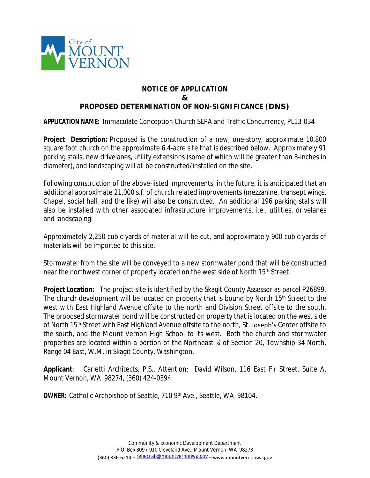

## **NOTICE OF APPLICATION & PROPOSED DETERMINATION OF NON-SIGNIFICANCE (DNS)**

**APPLICATION NAME:** Immaculate Conception Church SEPA and Traffic Concurrency, PL13-034

**Project Description:** Proposed is the construction of a new, one-story, approximate 10,800 square foot church on the approximate 6.4-acre site that is described below. Approximately 91 parking stalls, new drivelanes, utility extensions (some of which will be greater than 8-inches in diameter), and landscaping will all be constructed/installed on the site.

Following construction of the above-listed improvements, in the future, it is anticipated that an additional approximate 21,000 s.f. of church related improvements (mezzanine, transept wings, Chapel, social hall, and the like) will also be constructed. An additional 196 parking stalls will also be installed with other associated infrastructure improvements, i.e., utilities, drivelanes and landscaping.

Approximately 2,250 cubic yards of material will be cut, and approximately 900 cubic yards of materials will be imported to this site.

Stormwater from the site will be conveyed to a new stormwater pond that will be constructed near the northwest corner of property located on the west side of North 15<sup>th</sup> Street.

**Project Location:** The project site is identified by the Skagit County Assessor as parcel P26899. The church development will be located on property that is bound by North 15<sup>th</sup> Street to the west with East Highland Avenue offsite to the north and Division Street offsite to the south. The proposed stormwater pond will be constructed on property that is located on the west side of North 15<sup>th</sup> Street with East Highland Avenue offsite to the north, St. Joseph's Center offsite to the south, and the Mount Vernon High School to its west. Both the church and stormwater properties are located within a portion of the Northeast ¼ of Section 20, Township 34 North, Range 04 East, W.M. in Skagit County, Washington.

**Applicant**: Carletti Architects, P.S., Attention: David Wilson, 116 East Fir Street, Suite A, Mount Vernon, WA 98274, (360) 424-0394.

**OWNER:** Catholic Archbishop of Seattle, 710 9th Ave., Seattle, WA 98104.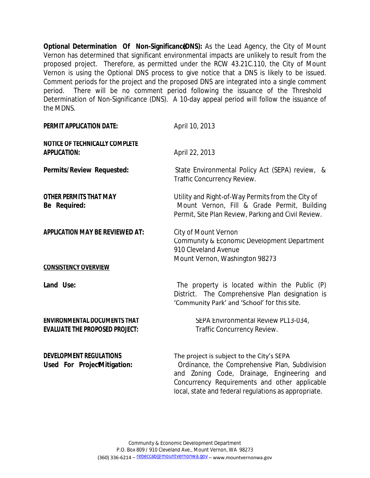**Optional Determination Of Non-Significanc (DNS):** As the Lead Agency, the City of Mount Vernon has determined that significant environmental impacts are unlikely to result from the proposed project. Therefore, as permitted under the RCW 43.21C.110, the City of Mount Vernon is using the Optional DNS process to give notice that a DNS is likely to be issued. Comment periods for the project and the proposed DNS are integrated into a single comment period. There will be no comment period following the issuance of the Threshold Determination of Non-Significance (DNS). A 10-day appeal period will follow the issuance of the MDNS.

| <b>PERMIT APPLICATION DATE:</b>                                              | April 10, 2013                                                                                                                                          |
|------------------------------------------------------------------------------|---------------------------------------------------------------------------------------------------------------------------------------------------------|
| <b>NOTICE OF TECHNICALLY COMPLETE</b><br><b>APPLICATION:</b>                 | April 22, 2013                                                                                                                                          |
| <b>Permits/Review Requested:</b>                                             | State Environmental Policy Act (SEPA) review, &<br>Traffic Concurrency Review.                                                                          |
| <b>OTHER PERMITS THAT MAY</b><br>Be Required:                                | Utility and Right-of-Way Permits from the City of<br>Mount Vernon, Fill & Grade Permit, Building<br>Permit, Site Plan Review, Parking and Civil Review. |
| <b>APPLICATION MAY BE REVIEWED AT:</b>                                       | City of Mount Vernon<br>Community & Economic Development Department<br>910 Cleveland Avenue<br>Mount Vernon, Washington 98273                           |
| <b>CONSISTENCY OVERVIEW</b>                                                  |                                                                                                                                                         |
| Land Use:                                                                    | The property is located within the Public (P)<br>District. The Comprehensive Plan designation is<br>'Community Park' and 'School' for this site.        |
| <b>ENVIRONMENTAL DOCUMENTS THAT</b><br><b>EVALUATE THE PROPOSED PROJECT:</b> | SEPA Environmental Review PL13-034,<br>Traffic Concurrency Review.                                                                                      |
| <b>DEVELOPMENT REGULATIONS</b><br>Used For ProjectMitigation:                | The project is subject to the City's SEPA<br>Ordinance, the Comprehensive Plan, Subdivision<br>and Zoning Code, Drainage, Engineering and               |

Concurrency Requirements and other applicable local, state and federal regulations as appropriate.